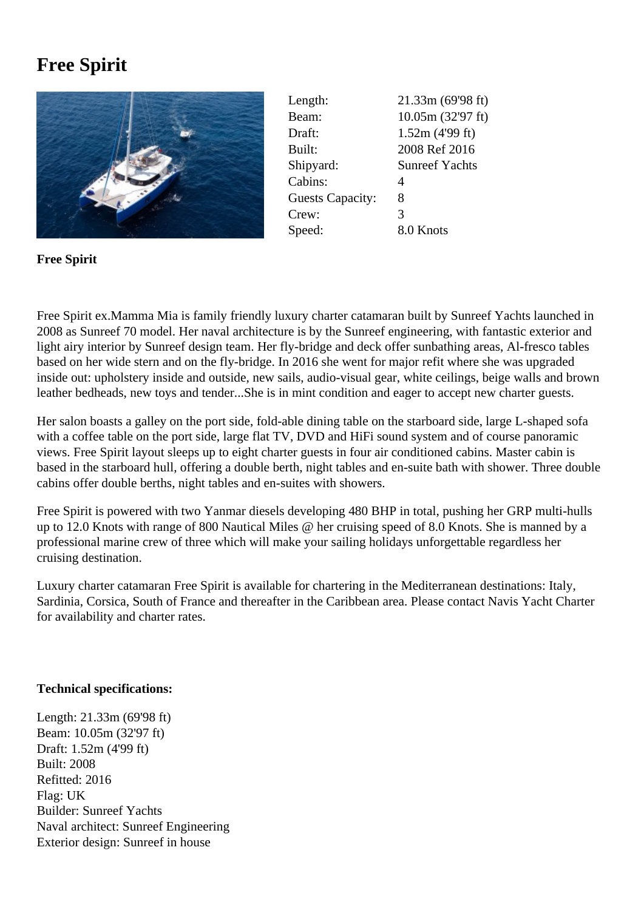## **Free Spirit**



Length: 21.33m (69'98 ft) Beam: 10.05m (32'97 ft) Draft: 1.52m (4'99 ft) Built: 2008 Ref 2016 Shipyard: Sunreef Yachts Cabins: 4 Guests Capacity: 8 Crew: 3 Speed: 8.0 Knots

**Free Spirit**

Free Spirit ex.Mamma Mia is family friendly luxury charter catamaran built by Sunreef Yachts launched in 2008 as Sunreef 70 model. Her naval architecture is by the Sunreef engineering, with fantastic exterior and light airy interior by Sunreef design team. Her fly-bridge and deck offer sunbathing areas, Al-fresco tables based on her wide stern and on the fly-bridge. In 2016 she went for major refit where she was upgraded inside out: upholstery inside and outside, new sails, audio-visual gear, white ceilings, beige walls and brown leather bedheads, new toys and tender...She is in mint condition and eager to accept new charter guests.

Her salon boasts a galley on the port side, fold-able dining table on the starboard side, large L-shaped sofa with a coffee table on the port side, large flat TV, DVD and HiFi sound system and of course panoramic views. Free Spirit layout sleeps up to eight charter guests in four air conditioned cabins. Master cabin is based in the starboard hull, offering a double berth, night tables and en-suite bath with shower. Three double cabins offer double berths, night tables and en-suites with showers.

Free Spirit is powered with two Yanmar diesels developing 480 BHP in total, pushing her GRP multi-hulls up to 12.0 Knots with range of 800 Nautical Miles @ her cruising speed of 8.0 Knots. She is manned by a professional marine crew of three which will make your sailing holidays unforgettable regardless her cruising destination.

Luxury charter catamaran Free Spirit is available for chartering in the Mediterranean destinations: Italy, Sardinia, Corsica, South of France and thereafter in the Caribbean area. Please contact Navis Yacht Charter for availability and charter rates.

## **Technical specifications:**

Length: 21.33m (69'98 ft) Beam: 10.05m (32'97 ft) Draft: 1.52m (4'99 ft) Built: 2008 Refitted: 2016 Flag: UK Builder: Sunreef Yachts Naval architect: Sunreef Engineering Exterior design: Sunreef in house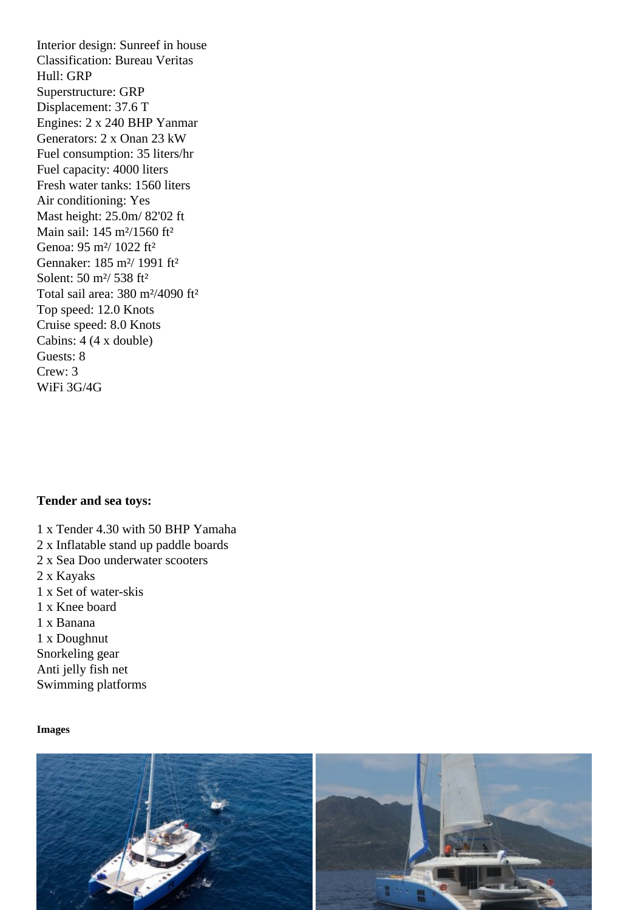Classification: Bureau Veritas Hull: GRP Superstructure: GRP Displacement: 37.6 T Engines: 2 x 240 BHP Yanmar Generators: 2 x Onan 23 kW Fuel consumption: 35 liters/hr Fuel capacity: 4000 liters Fresh water tanks: 1560 liters Air conditioning: Yes Mast height: 25.0m/ 82'02 ft Main sail: 145 m²/1560 ft² Genoa: 95 m²/ 1022 ft² Gennaker: 185 m²/ 1991 ft² Solent: 50 m²/ 538 ft² Total sail area: 380 m²/4090 ft² Top speed: 12.0 Knots Cruise speed: 8.0 Knots Cabins: 4 (4 x double) Guests: 8 Crew: 3 WiFi 3G/4G

Tender and sea toys:

- 1 x Tender 4.30 with 50 BHP Yamaha
- 2 x Inflatable stand up paddle boards
- 2 x Sea Doo underwater scooters
- 2 x Kayaks
- 1 x Set of water-skis
- 1 x Knee board
- 1 x Banana

1 x Doughnut Snorkeling gear Anti jelly fish net Swimming platforms

Images